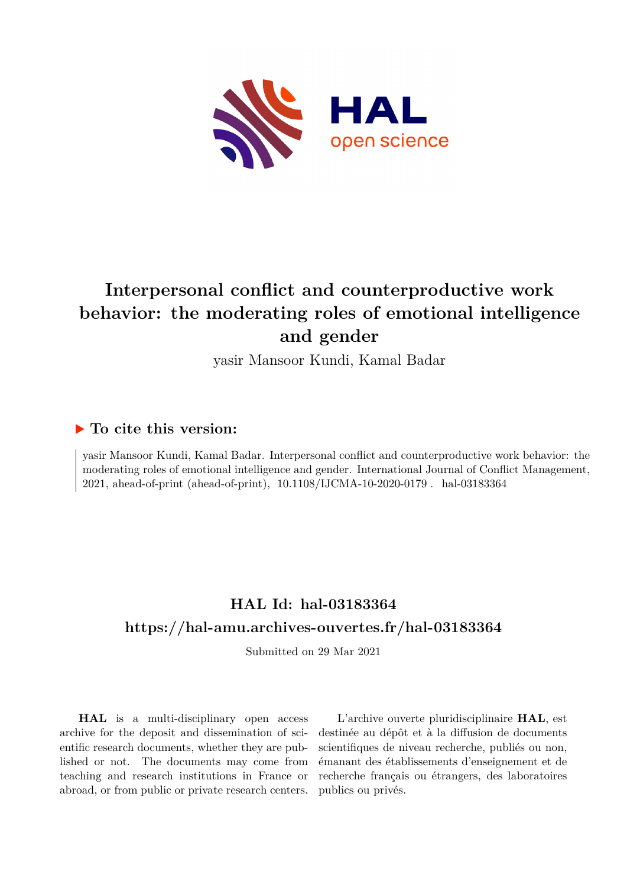

## **Interpersonal conflict and counterproductive work behavior: the moderating roles of emotional intelligence and gender**

yasir Mansoor Kundi, Kamal Badar

### **To cite this version:**

yasir Mansoor Kundi, Kamal Badar. Interpersonal conflict and counterproductive work behavior: the moderating roles of emotional intelligence and gender. International Journal of Conflict Management, 2021, ahead-of-print (ahead-of-print), 10.1108/IJCMA-10-2020-0179 . hal-03183364

## **HAL Id: hal-03183364 <https://hal-amu.archives-ouvertes.fr/hal-03183364>**

Submitted on 29 Mar 2021

**HAL** is a multi-disciplinary open access archive for the deposit and dissemination of scientific research documents, whether they are published or not. The documents may come from teaching and research institutions in France or abroad, or from public or private research centers.

L'archive ouverte pluridisciplinaire **HAL**, est destinée au dépôt et à la diffusion de documents scientifiques de niveau recherche, publiés ou non, émanant des établissements d'enseignement et de recherche français ou étrangers, des laboratoires publics ou privés.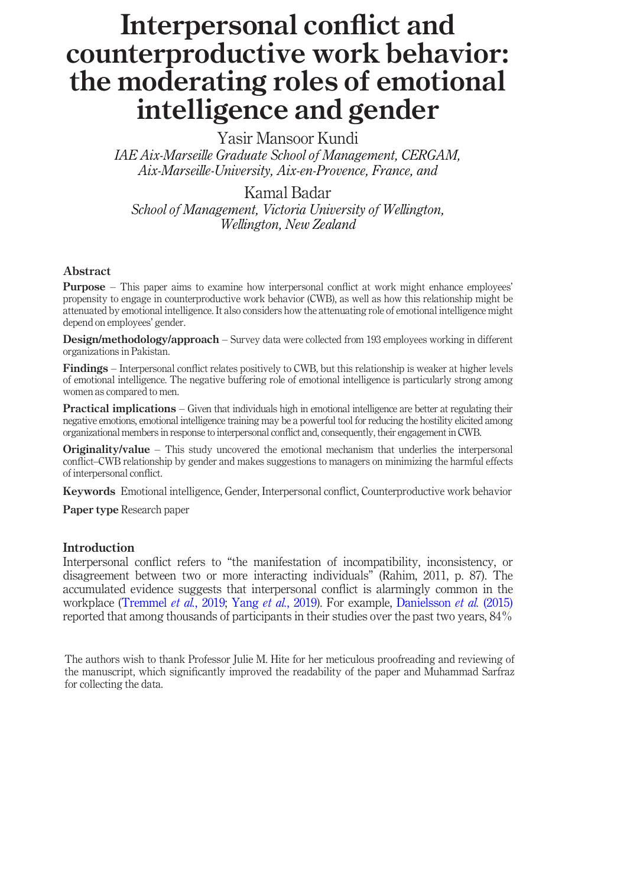# Interpersonal conflict and counterproductive work behavior: the moderating roles of emotional intelligence and gender

Yasir Mansoor Kundi IAE Aix-Marseille Graduate School of Management, CERGAM, Aix-Marseille-University, Aix-en-Provence, France, and

#### Kamal Badar

School of Management, Victoria University of Wellington, Wellington, New Zealand

#### Abstract

Purpose – This paper aims to examine how interpersonal conflict at work might enhance employees' propensity to engage in counterproductive work behavior (CWB), as well as how this relationship might be attenuated by emotional intelligence. It also considers how the attenuating role of emotional intelligence might depend on employees' gender.

Design/methodology/approach – Survey data were collected from 193 employees working in different organizations in Pakistan.

Findings – Interpersonal conflict relates positively to CWB, but this relationship is weaker at higher levels of emotional intelligence. The negative buffering role of emotional intelligence is particularly strong among women as compared to men.

Practical implications – Given that individuals high in emotional intelligence are better at regulating their negative emotions, emotional intelligence training may be a powerful tool for reducing the hostility elicited among organizational members in response to interpersonal conflict and, consequently, their engagement in CWB.

Originality/value – This study uncovered the emotional mechanism that underlies the interpersonal conflict–CWB relationship by gender and makes suggestions to managers on minimizing the harmful effects of interpersonal conflict.

Keywords Emotional intelligence, Gender, Interpersonal conflict, Counterproductive work behavior

Paper type Research paper

#### Introduction

Interpersonal conflict refers to "the manifestation of incompatibility, inconsistency, or disagreement between two or more interacting individuals" (Rahim, 2011, p. 87). The accumulated evidence suggests that interpersonal conflict is alarmingly common in the workplace (Tremmel *et al.*, 2019; Yang *et al.*, 2019). For example, Danielsson *et al.* (2015) reported that among thousands of participants in their studies over the past two years, 84%

The authors wish to thank Professor Julie M. Hite for her meticulous proofreading and reviewing of the manuscript, which significantly improved the readability of the paper and Muhammad Sarfraz for collecting the data.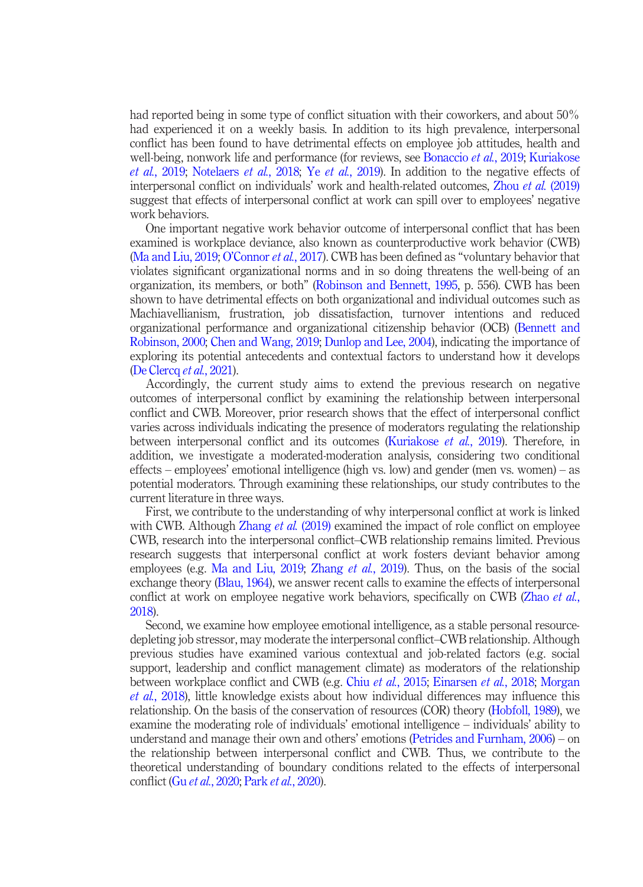had reported being in some type of conflict situation with their coworkers, and about 50% had experienced it on a weekly basis. In addition to its high prevalence, interpersonal conflict has been found to have detrimental effects on employee job attitudes, health and well-being, nonwork life and performance (for reviews, see Bonaccio *et al.*, 2019; Kuriakose et al., 2019; Notelaers et al., 2018; Ye et al., 2019). In addition to the negative effects of interpersonal conflict on individuals' work and health-related outcomes, Zhou et al. (2019) suggest that effects of interpersonal conflict at work can spill over to employees' negative work behaviors.

One important negative work behavior outcome of interpersonal conflict that has been examined is workplace deviance, also known as counterproductive work behavior (CWB) (Ma and Liu, 2019; O'Connor et al., 2017). CWB has been defined as "voluntary behavior that violates significant organizational norms and in so doing threatens the well-being of an organization, its members, or both" (Robinson and Bennett, 1995, p. 556). CWB has been shown to have detrimental effects on both organizational and individual outcomes such as Machiavellianism, frustration, job dissatisfaction, turnover intentions and reduced organizational performance and organizational citizenship behavior (OCB) (Bennett and Robinson, 2000; Chen and Wang, 2019; Dunlop and Lee, 2004), indicating the importance of exploring its potential antecedents and contextual factors to understand how it develops (De Clercq et al., 2021).

Accordingly, the current study aims to extend the previous research on negative outcomes of interpersonal conflict by examining the relationship between interpersonal conflict and CWB. Moreover, prior research shows that the effect of interpersonal conflict varies across individuals indicating the presence of moderators regulating the relationship between interpersonal conflict and its outcomes (Kuriakose *et al.*, 2019). Therefore, in addition, we investigate a moderated-moderation analysis, considering two conditional effects – employees' emotional intelligence (high vs. low) and gender (men vs. women) – as potential moderators. Through examining these relationships, our study contributes to the current literature in three ways.

First, we contribute to the understanding of why interpersonal conflict at work is linked with CWB. Although Zhang *et al.* (2019) examined the impact of role conflict on employee CWB, research into the interpersonal conflict–CWB relationship remains limited. Previous research suggests that interpersonal conflict at work fosters deviant behavior among employees (e.g. Ma and Liu, 2019; Zhang et al., 2019). Thus, on the basis of the social exchange theory (Blau, 1964), we answer recent calls to examine the effects of interpersonal conflict at work on employee negative work behaviors, specifically on CWB (Zhao *et al.*, 2018).

Second, we examine how employee emotional intelligence, as a stable personal resourcedepleting job stressor, may moderate the interpersonal conflict–CWB relationship. Although previous studies have examined various contextual and job-related factors (e.g. social support, leadership and conflict management climate) as moderators of the relationship between workplace conflict and CWB (e.g. Chiu et al., 2015; Einarsen et al., 2018; Morgan et al., 2018), little knowledge exists about how individual differences may influence this relationship. On the basis of the conservation of resources (COR) theory (Hobfoll, 1989), we examine the moderating role of individuals' emotional intelligence – individuals' ability to understand and manage their own and others' emotions (Petrides and Furnham, 2006) – on the relationship between interpersonal conflict and CWB. Thus, we contribute to the theoretical understanding of boundary conditions related to the effects of interpersonal conflict (Gu et al., 2020; Park et al., 2020).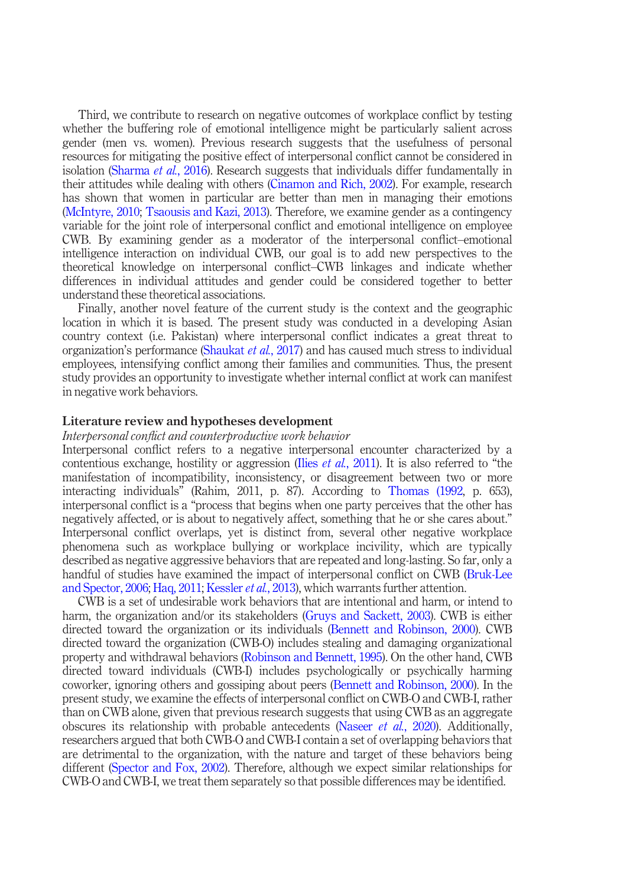Third, we contribute to research on negative outcomes of workplace conflict by testing whether the buffering role of emotional intelligence might be particularly salient across gender (men vs. women). Previous research suggests that the usefulness of personal resources for mitigating the positive effect of interpersonal conflict cannot be considered in isolation (Sharma et al., 2016). Research suggests that individuals differ fundamentally in their attitudes while dealing with others (Cinamon and Rich, 2002). For example, research has shown that women in particular are better than men in managing their emotions (McIntyre, 2010; Tsaousis and Kazi, 2013). Therefore, we examine gender as a contingency variable for the joint role of interpersonal conflict and emotional intelligence on employee CWB. By examining gender as a moderator of the interpersonal conflict–emotional intelligence interaction on individual CWB, our goal is to add new perspectives to the theoretical knowledge on interpersonal conflict–CWB linkages and indicate whether differences in individual attitudes and gender could be considered together to better understand these theoretical associations.

Finally, another novel feature of the current study is the context and the geographic location in which it is based. The present study was conducted in a developing Asian country context (i.e. Pakistan) where interpersonal conflict indicates a great threat to organization's performance (Shaukat et al., 2017) and has caused much stress to individual employees, intensifying conflict among their families and communities. Thus, the present study provides an opportunity to investigate whether internal conflict at work can manifest in negative work behaviors.

#### Literature review and hypotheses development

#### Interpersonal conflict and counterproductive work behavior

Interpersonal conflict refers to a negative interpersonal encounter characterized by a contentious exchange, hostility or aggression (Ilies *et al.*, 2011). It is also referred to "the manifestation of incompatibility, inconsistency, or disagreement between two or more interacting individuals" (Rahim, 2011, p. 87). According to Thomas (1992, p. 653), interpersonal conflict is a "process that begins when one party perceives that the other has negatively affected, or is about to negatively affect, something that he or she cares about." Interpersonal conflict overlaps, yet is distinct from, several other negative workplace phenomena such as workplace bullying or workplace incivility, which are typically described as negative aggressive behaviors that are repeated and long-lasting. So far, only a handful of studies have examined the impact of interpersonal conflict on CWB (Bruk-Lee and Spector, 2006; Haq, 2011; Kessler *et al.*, 2013), which warrants further attention.

CWB is a set of undesirable work behaviors that are intentional and harm, or intend to harm, the organization and/or its stakeholders (Gruys and Sackett, 2003). CWB is either directed toward the organization or its individuals (Bennett and Robinson, 2000). CWB directed toward the organization (CWB-O) includes stealing and damaging organizational property and withdrawal behaviors (Robinson and Bennett, 1995). On the other hand, CWB directed toward individuals (CWB-I) includes psychologically or psychically harming coworker, ignoring others and gossiping about peers (Bennett and Robinson, 2000). In the present study, we examine the effects of interpersonal conflict on CWB-O and CWB-I, rather than on CWB alone, given that previous research suggests that using CWB as an aggregate obscures its relationship with probable antecedents (Naseer *et al.*, 2020). Additionally, researchers argued that both CWB-O and CWB-I contain a set of overlapping behaviors that are detrimental to the organization, with the nature and target of these behaviors being different (Spector and Fox, 2002). Therefore, although we expect similar relationships for CWB-O and CWB-I, we treat them separately so that possible differences may be identified.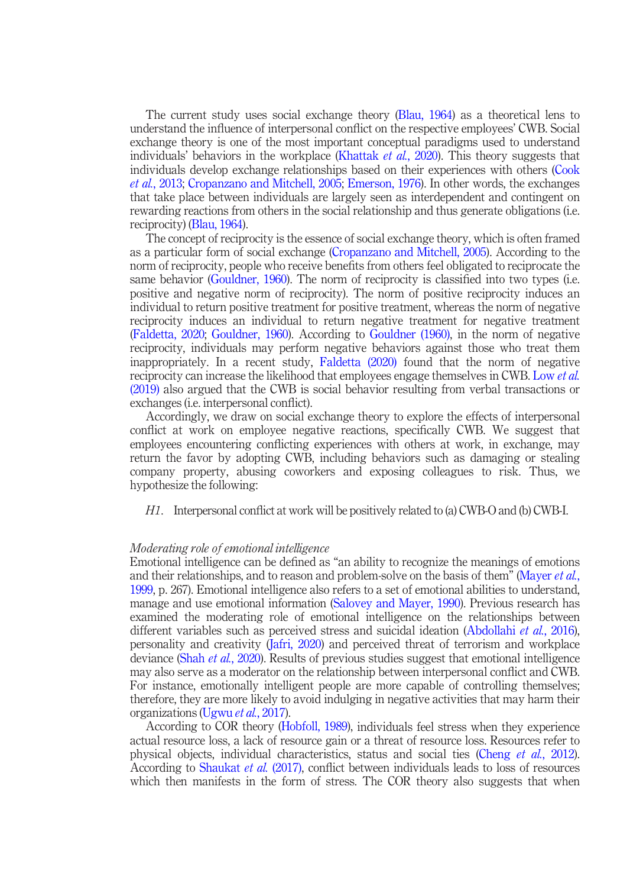The current study uses social exchange theory (Blau, 1964) as a theoretical lens to understand the influence of interpersonal conflict on the respective employees' CWB. Social exchange theory is one of the most important conceptual paradigms used to understand individuals' behaviors in the workplace (Khattak *et al.*, 2020). This theory suggests that individuals develop exchange relationships based on their experiences with others (Cook et al., 2013; Cropanzano and Mitchell, 2005; Emerson, 1976). In other words, the exchanges that take place between individuals are largely seen as interdependent and contingent on rewarding reactions from others in the social relationship and thus generate obligations (i.e. reciprocity) (Blau, 1964).

The concept of reciprocity is the essence of social exchange theory, which is often framed as a particular form of social exchange (Cropanzano and Mitchell, 2005). According to the norm of reciprocity, people who receive benefits from others feel obligated to reciprocate the same behavior (Gouldner, 1960). The norm of reciprocity is classified into two types (i.e. positive and negative norm of reciprocity). The norm of positive reciprocity induces an individual to return positive treatment for positive treatment, whereas the norm of negative reciprocity induces an individual to return negative treatment for negative treatment (Faldetta, 2020; Gouldner, 1960). According to Gouldner (1960), in the norm of negative reciprocity, individuals may perform negative behaviors against those who treat them inappropriately. In a recent study, Faldetta (2020) found that the norm of negative reciprocity can increase the likelihood that employees engage themselves in CWB. Low et al. (2019) also argued that the CWB is social behavior resulting from verbal transactions or exchanges (i.e. interpersonal conflict).

Accordingly, we draw on social exchange theory to explore the effects of interpersonal conflict at work on employee negative reactions, specifically CWB. We suggest that employees encountering conflicting experiences with others at work, in exchange, may return the favor by adopting CWB, including behaviors such as damaging or stealing company property, abusing coworkers and exposing colleagues to risk. Thus, we hypothesize the following:

H1. Interpersonal conflict at work will be positively related to (a) CWB-O and (b) CWB-I.

#### Moderating role of emotional intelligence

Emotional intelligence can be defined as "an ability to recognize the meanings of emotions and their relationships, and to reason and problem-solve on the basis of them" (Mayer *et al.*, 1999, p. 267). Emotional intelligence also refers to a set of emotional abilities to understand, manage and use emotional information (Salovey and Mayer, 1990). Previous research has examined the moderating role of emotional intelligence on the relationships between different variables such as perceived stress and suicidal ideation (Abdollahi et al., 2016), personality and creativity (Jafri, 2020) and perceived threat of terrorism and workplace deviance (Shah *et al.*, 2020). Results of previous studies suggest that emotional intelligence may also serve as a moderator on the relationship between interpersonal conflict and CWB. For instance, emotionally intelligent people are more capable of controlling themselves; therefore, they are more likely to avoid indulging in negative activities that may harm their organizations (Ugwu et al., 2017).

According to COR theory (Hobfoll, 1989), individuals feel stress when they experience actual resource loss, a lack of resource gain or a threat of resource loss. Resources refer to physical objects, individual characteristics, status and social ties (Cheng et al., 2012). According to Shaukat et al. (2017), conflict between individuals leads to loss of resources which then manifests in the form of stress. The COR theory also suggests that when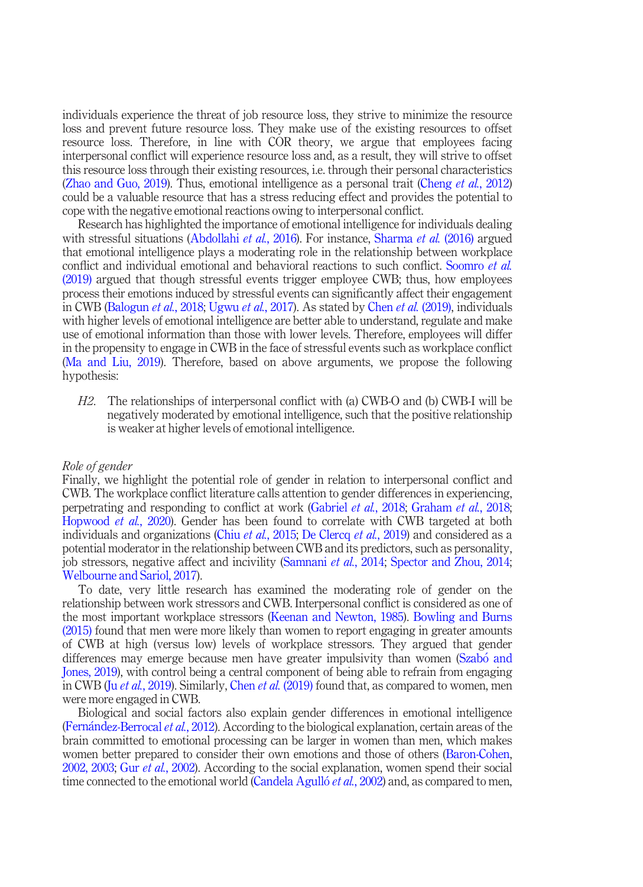individuals experience the threat of job resource loss, they strive to minimize the resource loss and prevent future resource loss. They make use of the existing resources to offset resource loss. Therefore, in line with COR theory, we argue that employees facing interpersonal conflict will experience resource loss and, as a result, they will strive to offset this resource loss through their existing resources, i.e. through their personal characteristics (Zhao and Guo, 2019). Thus, emotional intelligence as a personal trait (Cheng *et al.*, 2012) could be a valuable resource that has a stress reducing effect and provides the potential to cope with the negative emotional reactions owing to interpersonal conflict.

Research has highlighted the importance of emotional intelligence for individuals dealing with stressful situations (Abdollahi *et al.*, 2016). For instance, Sharma *et al.* (2016) argued that emotional intelligence plays a moderating role in the relationship between workplace conflict and individual emotional and behavioral reactions to such conflict. Soomro *et al.* (2019) argued that though stressful events trigger employee CWB; thus, how employees process their emotions induced by stressful events can significantly affect their engagement in CWB (Balogun et al., 2018; Ugwu et al., 2017). As stated by Chen et al. (2019), individuals with higher levels of emotional intelligence are better able to understand, regulate and make use of emotional information than those with lower levels. Therefore, employees will differ in the propensity to engage in CWB in the face of stressful events such as workplace conflict (Ma and Liu, 2019). Therefore, based on above arguments, we propose the following hypothesis:

H2. The relationships of interpersonal conflict with (a) CWB-O and (b) CWB-I will be negatively moderated by emotional intelligence, such that the positive relationship is weaker at higher levels of emotional intelligence.

#### Role of gender

Finally, we highlight the potential role of gender in relation to interpersonal conflict and CWB. The workplace conflict literature calls attention to gender differences in experiencing, perpetrating and responding to conflict at work (Gabriel et al., 2018; Graham et al., 2018; Hopwood *et al.*, 2020). Gender has been found to correlate with CWB targeted at both individuals and organizations (Chiu *et al.*, 2015; De Clercq *et al.*, 2019) and considered as a potential moderator in the relationship between CWB and its predictors, such as personality, job stressors, negative affect and incivility (Samnani et al., 2014; Spector and Zhou, 2014; Welbourne and Sariol, 2017).

To date, very little research has examined the moderating role of gender on the relationship between work stressors and CWB. Interpersonal conflict is considered as one of the most important workplace stressors (Keenan and Newton, 1985). Bowling and Burns (2015) found that men were more likely than women to report engaging in greater amounts of CWB at high (versus low) levels of workplace stressors. They argued that gender differences may emerge because men have greater impulsivity than women (Szabo and Jones, 2019), with control being a central component of being able to refrain from engaging in CWB (Ju *et al.*, 2019). Similarly, Chen *et al.* (2019) found that, as compared to women, men were more engaged in CWB.

Biological and social factors also explain gender differences in emotional intelligence (Fernandez-Berrocal et al., 2012). According to the biological explanation, certain areas of the brain committed to emotional processing can be larger in women than men, which makes women better prepared to consider their own emotions and those of others (Baron-Cohen, 2002, 2003; Gur et al., 2002). According to the social explanation, women spend their social time connected to the emotional world (Candela Agulló *et al.*, 2002) and, as compared to men,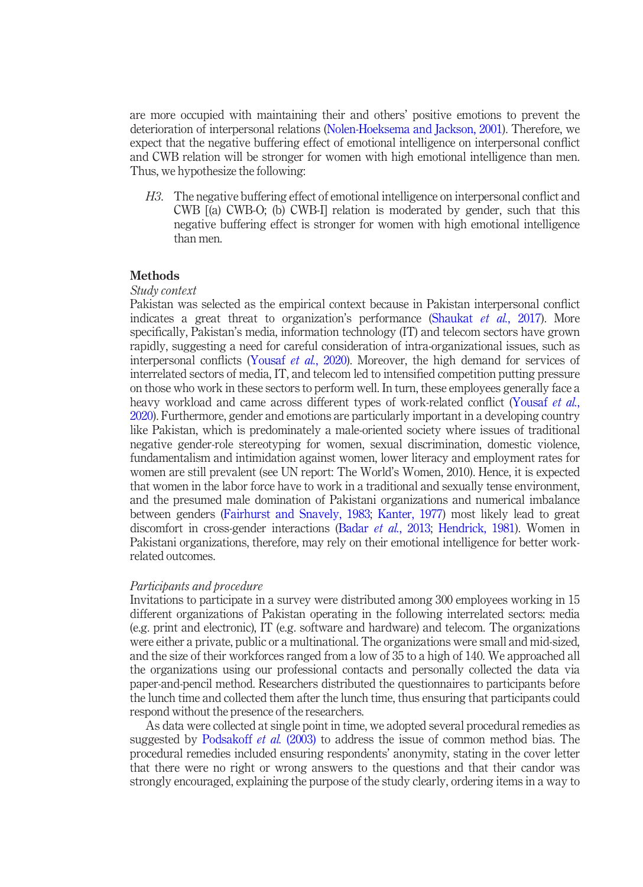are more occupied with maintaining their and others' positive emotions to prevent the deterioration of interpersonal relations (Nolen-Hoeksema and Jackson, 2001). Therefore, we expect that the negative buffering effect of emotional intelligence on interpersonal conflict and CWB relation will be stronger for women with high emotional intelligence than men. Thus, we hypothesize the following:

H3. The negative buffering effect of emotional intelligence on interpersonal conflict and CWB [(a) CWB-O; (b) CWB-I] relation is moderated by gender, such that this negative buffering effect is stronger for women with high emotional intelligence than men.

#### **Methods**

#### Study context

Pakistan was selected as the empirical context because in Pakistan interpersonal conflict indicates a great threat to organization's performance (Shaukat *et al.*, 2017). More specifically, Pakistan's media, information technology (IT) and telecom sectors have grown rapidly, suggesting a need for careful consideration of intra-organizational issues, such as interpersonal conflicts (Yousaf et al., 2020). Moreover, the high demand for services of interrelated sectors of media, IT, and telecom led to intensified competition putting pressure on those who work in these sectors to perform well. In turn, these employees generally face a heavy workload and came across different types of work-related conflict (Yousaf et al., 2020). Furthermore, gender and emotions are particularly important in a developing country like Pakistan, which is predominately a male-oriented society where issues of traditional negative gender-role stereotyping for women, sexual discrimination, domestic violence, fundamentalism and intimidation against women, lower literacy and employment rates for women are still prevalent (see UN report: The World's Women, 2010). Hence, it is expected that women in the labor force have to work in a traditional and sexually tense environment, and the presumed male domination of Pakistani organizations and numerical imbalance between genders (Fairhurst and Snavely, 1983; Kanter, 1977) most likely lead to great discomfort in cross-gender interactions (Badar et al., 2013; Hendrick, 1981). Women in Pakistani organizations, therefore, may rely on their emotional intelligence for better workrelated outcomes.

#### Participants and procedure

Invitations to participate in a survey were distributed among 300 employees working in 15 different organizations of Pakistan operating in the following interrelated sectors: media (e.g. print and electronic), IT (e.g. software and hardware) and telecom. The organizations were either a private, public or a multinational. The organizations were small and mid-sized, and the size of their workforces ranged from a low of 35 to a high of 140. We approached all the organizations using our professional contacts and personally collected the data via paper-and-pencil method. Researchers distributed the questionnaires to participants before the lunch time and collected them after the lunch time, thus ensuring that participants could respond without the presence of the researchers.

As data were collected at single point in time, we adopted several procedural remedies as suggested by Podsakoff et al. (2003) to address the issue of common method bias. The procedural remedies included ensuring respondents' anonymity, stating in the cover letter that there were no right or wrong answers to the questions and that their candor was strongly encouraged, explaining the purpose of the study clearly, ordering items in a way to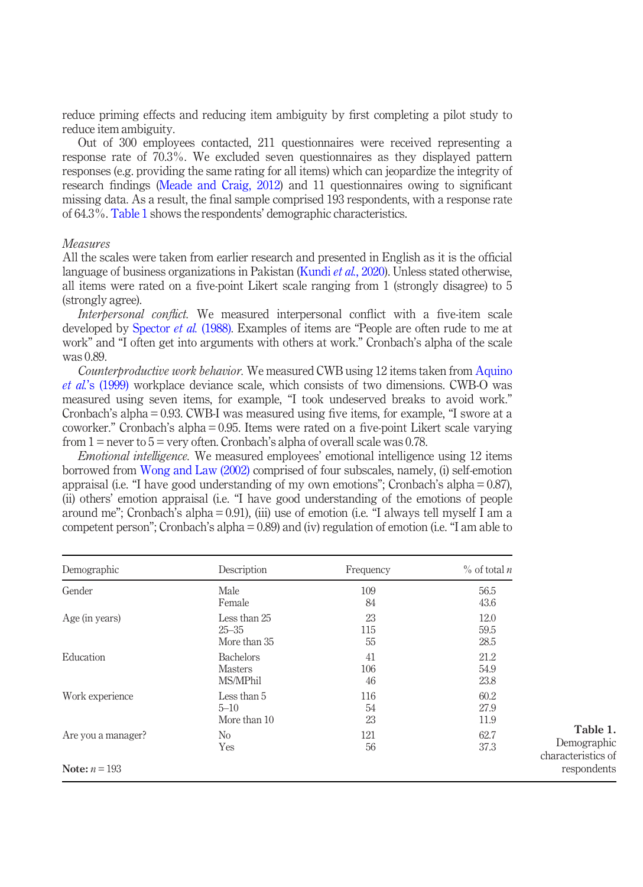reduce priming effects and reducing item ambiguity by first completing a pilot study to reduce item ambiguity.

Out of 300 employees contacted, 211 questionnaires were received representing a response rate of 70.3%. We excluded seven questionnaires as they displayed pattern responses (e.g. providing the same rating for all items) which can jeopardize the integrity of research findings (Meade and Craig, 2012) and 11 questionnaires owing to significant missing data. As a result, the final sample comprised 193 respondents, with a response rate of 64.3%. Table 1 shows the respondents' demographic characteristics.

#### Measures

All the scales were taken from earlier research and presented in English as it is the official language of business organizations in Pakistan (Kundi *et al.*, 2020). Unless stated otherwise, all items were rated on a five-point Likert scale ranging from 1 (strongly disagree) to 5 (strongly agree).

Interpersonal conflict. We measured interpersonal conflict with a five-item scale developed by Spector *et al.* (1988). Examples of items are "People are often rude to me at work" and "I often get into arguments with others at work." Cronbach's alpha of the scale was 0.89.

Counterproductive work behavior. We measured CWB using 12 items taken from Aquino et al.'s (1999) workplace deviance scale, which consists of two dimensions. CWB-O was measured using seven items, for example, "I took undeserved breaks to avoid work." Cronbach's alpha = 0.93. CWB-I was measured using five items, for example, "I swore at a coworker." Cronbach's alpha = 0.95. Items were rated on a five-point Likert scale varying from  $1$  = never to  $5$  = very often. Cronbach's alpha of overall scale was 0.78.

Emotional intelligence. We measured employees' emotional intelligence using 12 items borrowed from Wong and Law (2002) comprised of four subscales, namely, (i) self-emotion appraisal (i.e. "I have good understanding of my own emotions"; Cronbach's alpha =  $0.87$ ), (ii) others' emotion appraisal (i.e. "I have good understanding of the emotions of people around me"; Cronbach's alpha = 0.91), (iii) use of emotion (i.e. "I always tell myself I am a competent person"; Cronbach's alpha = 0.89) and (iv) regulation of emotion (i.e. "I am able to

| Demographic        | Description      | Frequency | $\%$ of total <i>n</i> |  |  |
|--------------------|------------------|-----------|------------------------|--|--|
| Gender             | Male             | 109       | 56.5                   |  |  |
|                    | Female           | 84        | 43.6                   |  |  |
| Age (in years)     | Less than 25     | 23        | 12.0                   |  |  |
|                    | $25 - 35$        | 115       | 59.5                   |  |  |
|                    | More than 35     | 55        | 28.5                   |  |  |
| Education          | <b>Bachelors</b> | 41        | 21.2                   |  |  |
|                    | <b>Masters</b>   | 106       | 54.9                   |  |  |
|                    | MS/MPhil         | 46        | 23.8                   |  |  |
| Work experience    | Less than 5      | 116       | 60.2                   |  |  |
|                    | $5 - 10$         | 54        | 27.9                   |  |  |
|                    | More than 10     | 23        | 11.9                   |  |  |
| Are you a manager? | N <sub>0</sub>   | 121       | 62.7                   |  |  |
|                    | Yes              | 56        | 37.3                   |  |  |
| Note: $n = 193$    |                  |           |                        |  |  |

Table 1. Demographic characteristics of respondents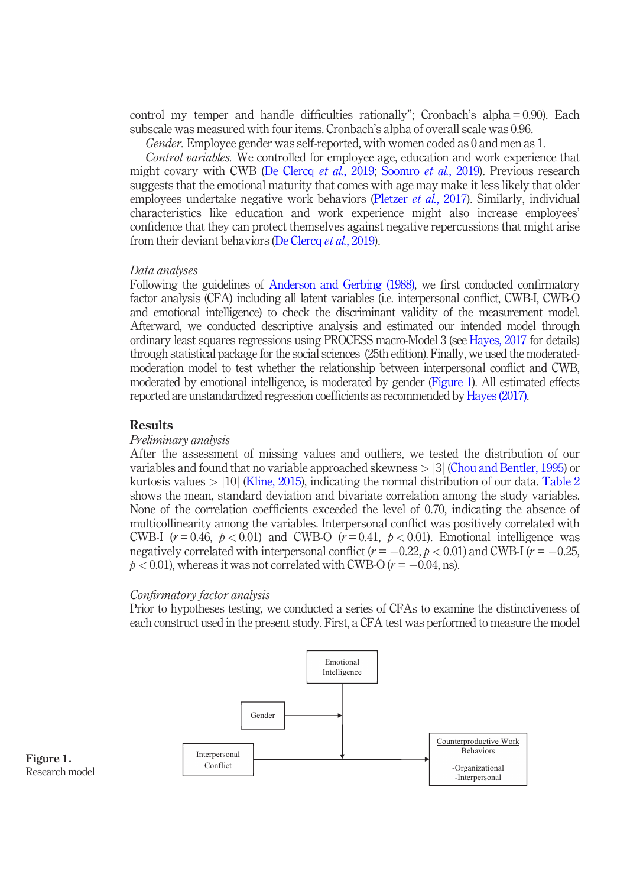control my temper and handle difficulties rationally"; Cronbach's alpha = 0.90). Each subscale was measured with four items. Cronbach's alpha of overall scale was 0.96.

Gender. Employee gender was self-reported, with women coded as 0 and men as 1.

Control variables. We controlled for employee age, education and work experience that might covary with CWB (De Clercq *et al.*, 2019; Soomro *et al.*, 2019). Previous research suggests that the emotional maturity that comes with age may make it less likely that older employees undertake negative work behaviors (Pletzer et al., 2017). Similarly, individual characteristics like education and work experience might also increase employees' confidence that they can protect themselves against negative repercussions that might arise from their deviant behaviors (De Clercq et al., 2019).

#### Data analyses

Following the guidelines of Anderson and Gerbing (1988), we first conducted confirmatory factor analysis (CFA) including all latent variables (i.e. interpersonal conflict, CWB-I, CWB-O and emotional intelligence) to check the discriminant validity of the measurement model. Afterward, we conducted descriptive analysis and estimated our intended model through ordinary least squares regressions using PROCESS macro-Model 3 (see Hayes, 2017 for details) through statistical package for the social sciences (25th edition). Finally, we used the moderatedmoderation model to test whether the relationship between interpersonal conflict and CWB, moderated by emotional intelligence, is moderated by gender (Figure 1). All estimated effects reported are unstandardized regression coefficients as recommended by Hayes (2017).

#### Results

#### Preliminary analysis

After the assessment of missing values and outliers, we tested the distribution of our variables and found that no variable approached skewness  $> |3|$  (Chou and Bentler, 1995) or kurtosis values  $> 10$  (Kline, 2015), indicating the normal distribution of our data. Table 2 shows the mean, standard deviation and bivariate correlation among the study variables. None of the correlation coefficients exceeded the level of 0.70, indicating the absence of multicollinearity among the variables. Interpersonal conflict was positively correlated with CWB-I  $(r=0.46, p<0.01)$  and CWB-O  $(r=0.41, p<0.01)$ . Emotional intelligence was negatively correlated with interpersonal conflict  $(r = -0.22, p < 0.01)$  and CWB-I  $(r = -0.25,$  $p < 0.01$ ), whereas it was not correlated with CWB-O ( $r = -0.04$ , ns).

#### Confirmatory factor analysis

Prior to hypotheses testing, we conducted a series of CFAs to examine the distinctiveness of each construct used in the present study. First, a CFA test was performed to measure the model



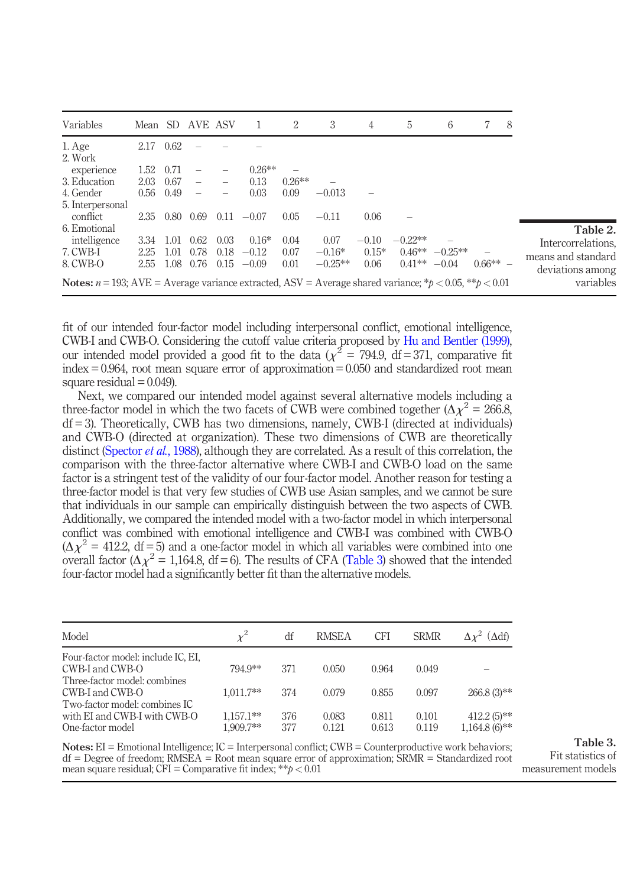| Variables                                                                                                               |      |      | Mean SD AVE ASV |      |           | 2        | 3         | 4       | 5         | 6          |           | -8 |                    |
|-------------------------------------------------------------------------------------------------------------------------|------|------|-----------------|------|-----------|----------|-----------|---------|-----------|------------|-----------|----|--------------------|
| 1. Age<br>2. Work                                                                                                       | 2.17 | 0.62 |                 |      |           |          |           |         |           |            |           |    |                    |
| experience                                                                                                              | 1.52 | 0.71 |                 |      | $0.26***$ |          |           |         |           |            |           |    |                    |
| 3. Education                                                                                                            | 2.03 | 0.67 |                 |      | 0.13      | $0.26**$ |           |         |           |            |           |    |                    |
| 4. Gender                                                                                                               | 0.56 | 0.49 |                 |      | 0.03      | 0.09     | $-0.013$  |         |           |            |           |    |                    |
| 5. Interpersonal                                                                                                        |      |      |                 |      |           |          |           |         |           |            |           |    |                    |
| conflict                                                                                                                | 2.35 | 0.80 | 0.69            | 0.11 | $-0.07$   | 0.05     | $-0.11$   | 0.06    |           |            |           |    |                    |
| 6. Emotional                                                                                                            |      |      |                 |      |           |          |           |         |           |            |           |    | Table 2.           |
| intelligence                                                                                                            | 3.34 | 1.01 | 0.62            | 0.03 | $0.16*$   | 0.04     | 0.07      | $-0.10$ | $-0.22**$ |            |           |    | Intercorrelations. |
| 7. CWB-I                                                                                                                | 2.25 | 1.01 | 0.78            | 0.18 | $-0.12$   | 0.07     | $-0.16*$  | $0.15*$ | $0.46**$  | $-0.25***$ |           |    | means and standard |
| 8. CWB-O                                                                                                                | 2.55 | 1.08 | 0.76            | 0.15 | $-0.09$   | 0.01     | $-0.25**$ | 0.06    | $0.41**$  | $-0.04$    | $0.66***$ |    | deviations among   |
| <b>Notes:</b> $n = 193$ ; AVE = Average variance extracted, ASV = Average shared variance; * $p < 0.05$ , ** $p < 0.01$ |      |      |                 |      |           |          |           |         | variables |            |           |    |                    |

fit of our intended four-factor model including interpersonal conflict, emotional intelligence, CWB-I and CWB-O. Considering the cutoff value criteria proposed by Hu and Bentler (1999), our intended model provided a good fit to the data ( $\chi^2 = 794.9$ , df = 371, comparative fit  $index = 0.964$ , root mean square error of approximation = 0.050 and standardized root mean square residual  $= 0.049$ ).

Next, we compared our intended model against several alternative models including a three-factor model in which the two facets of CWB were combined together  $(\Delta \chi^2 = 266.8,$  $df = 3$ ). Theoretically, CWB has two dimensions, namely, CWB-I (directed at individuals) and CWB-O (directed at organization). These two dimensions of CWB are theoretically distinct (Spector *et al.*, 1988), although they are correlated. As a result of this correlation, the comparison with the three-factor alternative where CWB-I and CWB-O load on the same factor is a stringent test of the validity of our four-factor model. Another reason for testing a three-factor model is that very few studies of CWB use Asian samples, and we cannot be sure that individuals in our sample can empirically distinguish between the two aspects of CWB. Additionally, we compared the intended model with a two-factor model in which interpersonal conflict was combined with emotional intelligence and CWB-I was combined with CWB-O  $(\Delta \chi^2 = 412.2, df = 5)$  and a one-factor model in which all variables were combined into one overall factor  $(\Delta \chi^2 = 1,164.8, df = 6)$ . The results of CFA (Table 3) showed that the intended four-factor model had a significantly better fit than the alternative models.

| Model                                                                             |                          | df         | <b>RMSEA</b>   | <b>CFI</b>     | <b>SRMR</b>    | $(\Delta df)$                    |
|-----------------------------------------------------------------------------------|--------------------------|------------|----------------|----------------|----------------|----------------------------------|
| Four-factor model: include IC, EI,                                                |                          |            |                |                |                |                                  |
| CWB-I and CWB-O<br>Three-factor model: combines                                   | 794.9**                  | 371        | 0.050          | 0.964          | 0.049          |                                  |
| CWB-I and CWB-O                                                                   | $1.011.7**$              | 374        | 0.079          | 0.855          | 0.097          | $266.8(3)$ **                    |
| Two-factor model: combines IC<br>with EI and CWB-I with CWB-O<br>One-factor model | $1,157.1**$<br>1.909.7** | 376<br>377 | 0.083<br>0.121 | 0.811<br>0.613 | 0.101<br>0.119 | $412.2(5)$ **<br>$1,164.8(6)$ ** |

Notes: EI = Emotional Intelligence; IC = Interpersonal conflict; CWB = Counterproductive work behaviors; df = Degree of freedom; RMSEA = Root mean square error of approximation; SRMR = Standardized root mean square residual; CFI = Comparative fit index; \*\* $p < 0.01$ 

Table 3. Fit statistics of measurement models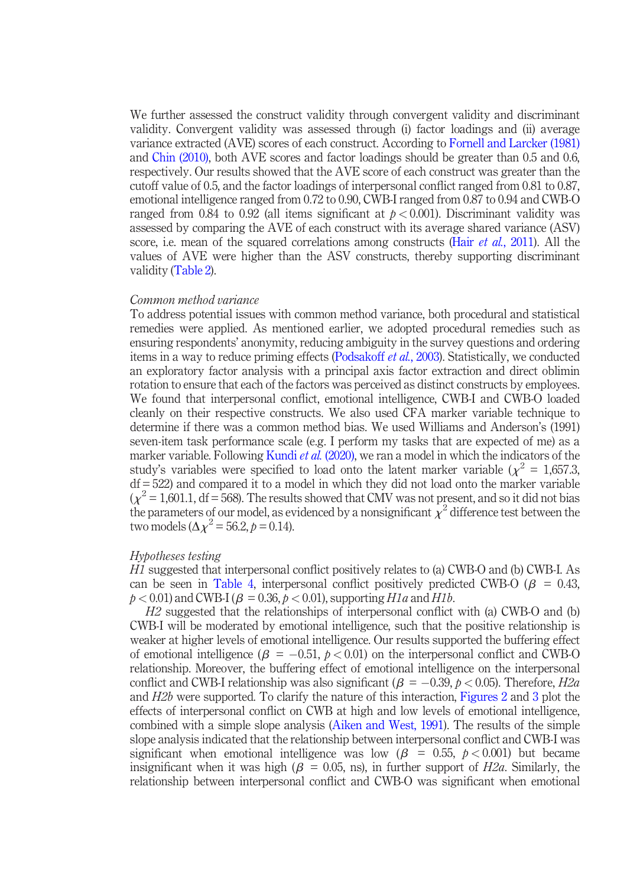We further assessed the construct validity through convergent validity and discriminant validity. Convergent validity was assessed through (i) factor loadings and (ii) average variance extracted (AVE) scores of each construct. According to Fornell and Larcker (1981) and Chin (2010), both AVE scores and factor loadings should be greater than 0.5 and 0.6, respectively. Our results showed that the AVE score of each construct was greater than the cutoff value of 0.5, and the factor loadings of interpersonal conflict ranged from 0.81 to 0.87, emotional intelligence ranged from 0.72 to 0.90, CWB-I ranged from 0.87 to 0.94 and CWB-O ranged from 0.84 to 0.92 (all items significant at  $p < 0.001$ ). Discriminant validity was assessed by comparing the AVE of each construct with its average shared variance (ASV) score, i.e. mean of the squared correlations among constructs (Hair *et al.*, 2011). All the values of AVE were higher than the ASV constructs, thereby supporting discriminant validity (Table 2).

#### Common method variance

To address potential issues with common method variance, both procedural and statistical remedies were applied. As mentioned earlier, we adopted procedural remedies such as ensuring respondents' anonymity, reducing ambiguity in the survey questions and ordering items in a way to reduce priming effects (Podsakoff et al., 2003). Statistically, we conducted an exploratory factor analysis with a principal axis factor extraction and direct oblimin rotation to ensure that each of the factors was perceived as distinct constructs by employees. We found that interpersonal conflict, emotional intelligence, CWB-I and CWB-O loaded cleanly on their respective constructs. We also used CFA marker variable technique to determine if there was a common method bias. We used Williams and Anderson's (1991) seven-item task performance scale (e.g. I perform my tasks that are expected of me) as a marker variable. Following Kundi et al. (2020), we ran a model in which the indicators of the study's variables were specified to load onto the latent marker variable ( $\chi^2 = 1,657.3$ ,  $df = 522$ ) and compared it to a model in which they did not load onto the marker variable  $(\chi^2 = 1,601.1, df = 568)$ . The results showed that CMV was not present, and so it did not bias the parameters of our model, as evidenced by a nonsignificant  $\chi^2$  difference test between the two models ( $\Delta \chi^2 = 56.2$ ,  $p = 0.14$ ).

#### Hypotheses testing

H1 suggested that interpersonal conflict positively relates to (a) CWB-O and (b) CWB-I. As can be seen in Table 4, interpersonal conflict positively predicted CWB-O ( $\beta$  = 0.43,  $p < 0.01$ ) and CWB-I ( $\beta = 0.36$ ,  $p < 0.01$ ), supporting H1a and H1b.

H2 suggested that the relationships of interpersonal conflict with (a) CWB-O and (b) CWB-I will be moderated by emotional intelligence, such that the positive relationship is weaker at higher levels of emotional intelligence. Our results supported the buffering effect of emotional intelligence  $(\beta = -0.51, p < 0.01)$  on the interpersonal conflict and CWB-O relationship. Moreover, the buffering effect of emotional intelligence on the interpersonal conflict and CWB-I relationship was also significant ( $\beta = -0.39$ ,  $p < 0.05$ ). Therefore, H2a and H2b were supported. To clarify the nature of this interaction, Figures 2 and 3 plot the effects of interpersonal conflict on CWB at high and low levels of emotional intelligence, combined with a simple slope analysis (Aiken and West, 1991). The results of the simple slope analysis indicated that the relationship between interpersonal conflict and CWB-I was significant when emotional intelligence was low ( $\beta$  = 0.55,  $p < 0.001$ ) but became insignificant when it was high ( $\beta$  = 0.05, ns), in further support of H2a. Similarly, the relationship between interpersonal conflict and CWB-O was significant when emotional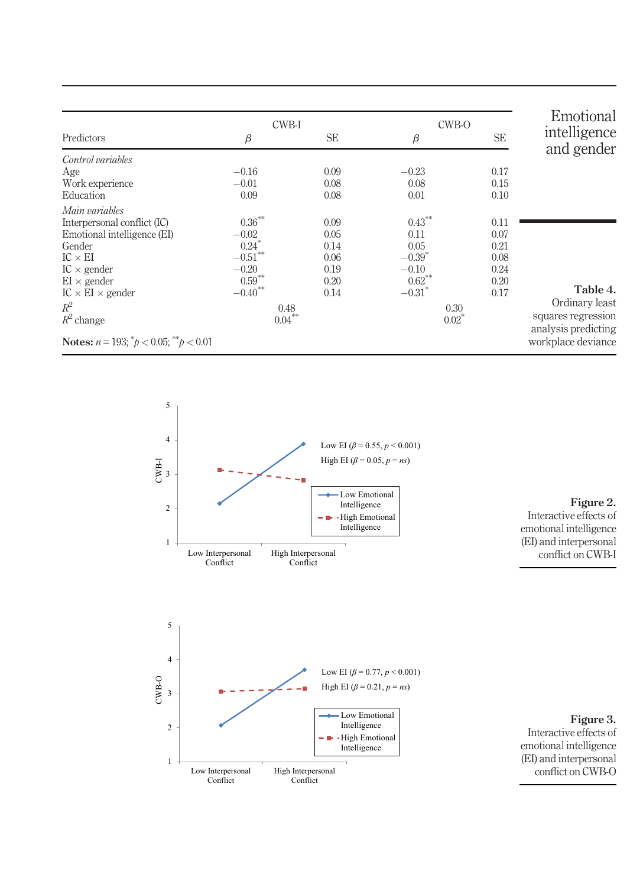|                                                       |                       | CWB-I     | CWB-O     | Emotional |                                           |
|-------------------------------------------------------|-----------------------|-----------|-----------|-----------|-------------------------------------------|
| Predictors                                            | β                     | <b>SE</b> | $\beta$   | <b>SE</b> | intelligence<br>and gender                |
| Control variables                                     |                       |           |           |           |                                           |
| Age                                                   | $-0.16$               | 0.09      | $-0.23$   | 0.17      |                                           |
| Work experience                                       | $-0.01$               | 0.08      | 0.08      | 0.15      |                                           |
| Education                                             | 0.09                  | 0.08      | 0.01      | 0.10      |                                           |
| Main variables                                        |                       |           |           |           |                                           |
| Interpersonal conflict (IC)                           | $0.36***$             | 0.09      | $0.43***$ | 0.11      |                                           |
| Emotional intelligence (EI)                           | $-0.02$               | 0.05      | 0.11      | 0.07      |                                           |
| Gender                                                | $0.24$ <sup>*</sup>   | 0.14      | 0.05      | 0.21      |                                           |
| $IC \times EI$                                        | $-0.51***$            | 0.06      | $-0.39^*$ | 0.08      |                                           |
| $IC \times gender$                                    | $-0.20$               | 0.19      | $-0.10$   | 0.24      |                                           |
| $EI \times gender$                                    | $0.59***$             | 0.20      | $0.62***$ | 0.20      |                                           |
| $IC \times EI \times gender$                          | $-0.40$ <sup>**</sup> | 0.14      | $-0.31$ * | 0.17      | Table 4.                                  |
| $R^2$                                                 |                       | 0.48      | 0.30      |           | Ordinary least                            |
| $R^2$ change                                          |                       | $0.04***$ | $0.02*$   |           | squares regression                        |
| <b>Notes:</b> $n = 193$ ; $^*p < 0.05$ ; $^*p < 0.01$ |                       |           |           |           | analysis predicting<br>workplace deviance |



High Interpersonal Conflict

Low Emotional Intelligence  $\blacksquare$  High Emotional Intelligence

High EI (*β* = 0.21, *p* = *ns*)

1

Low Interpersonal Conflict

2

o<br>B<br>C<br>3



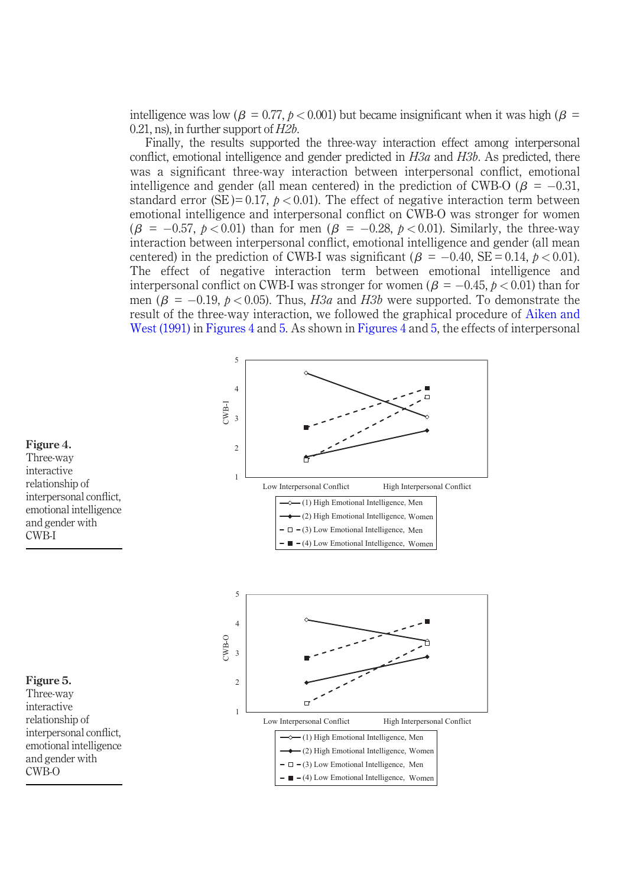intelligence was low ( $\beta = 0.77$ ,  $\beta < 0.001$ ) but became insignificant when it was high ( $\beta =$ 0.21, ns), in further support of H2b.

Finally, the results supported the three-way interaction effect among interpersonal conflict, emotional intelligence and gender predicted in  $H3a$  and  $H3b$ . As predicted, there was a significant three-way interaction between interpersonal conflict, emotional intelligence and gender (all mean centered) in the prediction of CWB-O ( $\beta = -0.31$ , standard error (SE)= 0.17,  $p < 0.01$ ). The effect of negative interaction term between emotional intelligence and interpersonal conflict on CWB-O was stronger for women  $(\beta = -0.57, p < 0.01)$  than for men  $(\beta = -0.28, p < 0.01)$ . Similarly, the three-way interaction between interpersonal conflict, emotional intelligence and gender (all mean centered) in the prediction of CWB-I was significant ( $\beta = -0.40$ , SE = 0.14,  $p < 0.01$ ). The effect of negative interaction term between emotional intelligence and interpersonal conflict on CWB-I was stronger for women ( $\beta = -0.45$ ,  $p < 0.01$ ) than for men ( $\beta = -0.19$ ,  $p < 0.05$ ). Thus, H3a and H3b were supported. To demonstrate the result of the three-way interaction, we followed the graphical procedure of Aiken and West (1991) in Figures 4 and 5. As shown in Figures 4 and 5, the effects of interpersonal



#### Figure 4. Three-way interactive relationship of interpersonal conflict, emotional intelligence

and gender with CWB-I

Figure 5. Three-way interactive relationship of interpersonal conflict, emotional intelligence and gender with CWB-O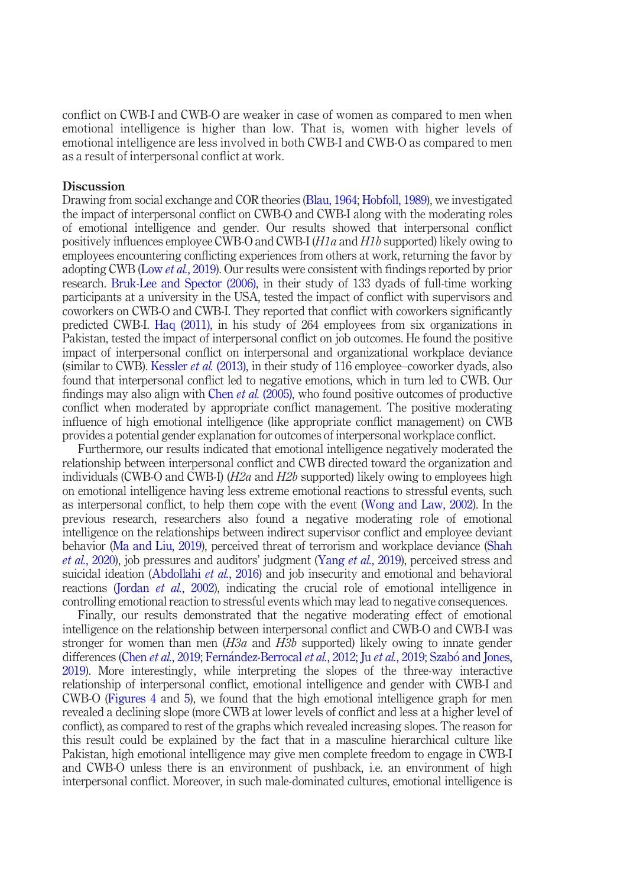conflict on CWB-I and CWB-O are weaker in case of women as compared to men when emotional intelligence is higher than low. That is, women with higher levels of emotional intelligence are less involved in both CWB-I and CWB-O as compared to men as a result of interpersonal conflict at work.

#### **Discussion**

Drawing from social exchange and COR theories (Blau, 1964; Hobfoll, 1989), we investigated the impact of interpersonal conflict on CWB-O and CWB-I along with the moderating roles of emotional intelligence and gender. Our results showed that interpersonal conflict positively influences employee CWB-O and CWB-I (H1a and H1b supported) likely owing to employees encountering conflicting experiences from others at work, returning the favor by adopting CWB (Low *et al.*, 2019). Our results were consistent with findings reported by prior research. Bruk-Lee and Spector (2006), in their study of 133 dyads of full-time working participants at a university in the USA, tested the impact of conflict with supervisors and coworkers on CWB-O and CWB-I. They reported that conflict with coworkers significantly predicted CWB-I. Haq (2011), in his study of 264 employees from six organizations in Pakistan, tested the impact of interpersonal conflict on job outcomes. He found the positive impact of interpersonal conflict on interpersonal and organizational workplace deviance (similar to CWB). Kessler *et al.* (2013), in their study of 116 employee–coworker dyads, also found that interpersonal conflict led to negative emotions, which in turn led to CWB. Our findings may also align with Chen *et al.* (2005), who found positive outcomes of productive conflict when moderated by appropriate conflict management. The positive moderating influence of high emotional intelligence (like appropriate conflict management) on CWB provides a potential gender explanation for outcomes of interpersonal workplace conflict.

Furthermore, our results indicated that emotional intelligence negatively moderated the relationship between interpersonal conflict and CWB directed toward the organization and individuals (CWB-O and CWB-I) ( $H2a$  and  $H2b$  supported) likely owing to employees high on emotional intelligence having less extreme emotional reactions to stressful events, such as interpersonal conflict, to help them cope with the event (Wong and Law, 2002). In the previous research, researchers also found a negative moderating role of emotional intelligence on the relationships between indirect supervisor conflict and employee deviant behavior (Ma and Liu, 2019), perceived threat of terrorism and workplace deviance (Shah et al., 2020), job pressures and auditors' judgment (Yang et al., 2019), perceived stress and suicidal ideation (Abdollahi et al., 2016) and job insecurity and emotional and behavioral reactions (Jordan et al., 2002), indicating the crucial role of emotional intelligence in controlling emotional reaction to stressful events which may lead to negative consequences.

Finally, our results demonstrated that the negative moderating effect of emotional intelligence on the relationship between interpersonal conflict and CWB-O and CWB-I was stronger for women than men  $(H3a$  and  $H3b$  supported) likely owing to innate gender differences (Chen *et al.*, 2019; Fernández-Berrocal *et al.*, 2012; Ju *et al.*, 2019; Szabó and Jones, 2019). More interestingly, while interpreting the slopes of the three-way interactive relationship of interpersonal conflict, emotional intelligence and gender with CWB-I and CWB-O (Figures 4 and 5), we found that the high emotional intelligence graph for men revealed a declining slope (more CWB at lower levels of conflict and less at a higher level of conflict), as compared to rest of the graphs which revealed increasing slopes. The reason for this result could be explained by the fact that in a masculine hierarchical culture like Pakistan, high emotional intelligence may give men complete freedom to engage in CWB-I and CWB-O unless there is an environment of pushback, i.e. an environment of high interpersonal conflict. Moreover, in such male-dominated cultures, emotional intelligence is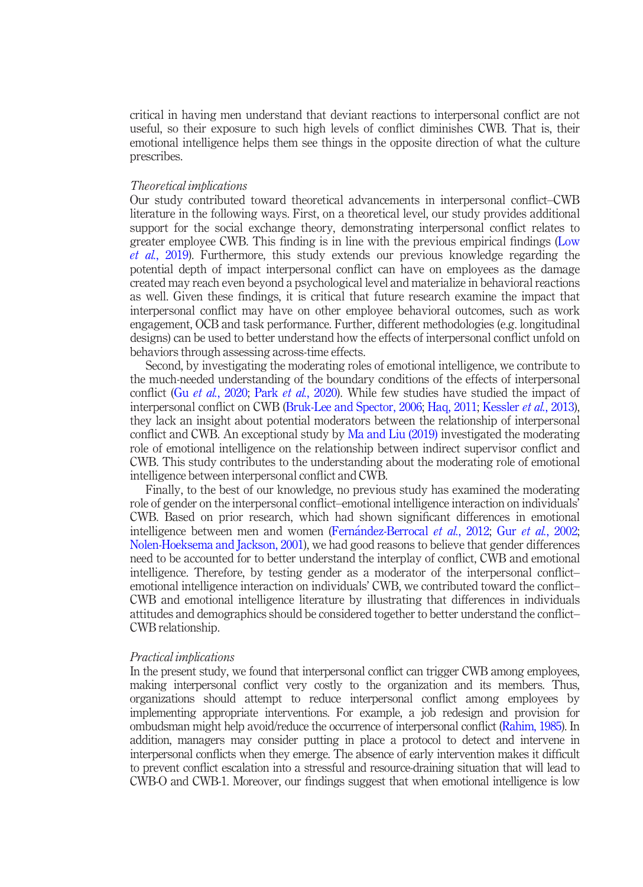critical in having men understand that deviant reactions to interpersonal conflict are not useful, so their exposure to such high levels of conflict diminishes CWB. That is, their emotional intelligence helps them see things in the opposite direction of what the culture prescribes.

#### Theoretical implications

Our study contributed toward theoretical advancements in interpersonal conflict–CWB literature in the following ways. First, on a theoretical level, our study provides additional support for the social exchange theory, demonstrating interpersonal conflict relates to greater employee CWB. This finding is in line with the previous empirical findings (Low et al., 2019). Furthermore, this study extends our previous knowledge regarding the potential depth of impact interpersonal conflict can have on employees as the damage created may reach even beyond a psychological level and materialize in behavioral reactions as well. Given these findings, it is critical that future research examine the impact that interpersonal conflict may have on other employee behavioral outcomes, such as work engagement, OCB and task performance. Further, different methodologies (e.g. longitudinal designs) can be used to better understand how the effects of interpersonal conflict unfold on behaviors through assessing across-time effects.

Second, by investigating the moderating roles of emotional intelligence, we contribute to the much-needed understanding of the boundary conditions of the effects of interpersonal conflict (Gu *et al.*, 2020; Park *et al.*, 2020). While few studies have studied the impact of interpersonal conflict on CWB (Bruk-Lee and Spector, 2006; Haq, 2011; Kessler et al., 2013), they lack an insight about potential moderators between the relationship of interpersonal conflict and CWB. An exceptional study by Ma and Liu (2019) investigated the moderating role of emotional intelligence on the relationship between indirect supervisor conflict and CWB. This study contributes to the understanding about the moderating role of emotional intelligence between interpersonal conflict and CWB.

Finally, to the best of our knowledge, no previous study has examined the moderating role of gender on the interpersonal conflict–emotional intelligence interaction on individuals' CWB. Based on prior research, which had shown significant differences in emotional intelligence between men and women (Fernandez-Berrocal et al., 2012; Gur et al., 2002; Nolen-Hoeksema and Jackson, 2001), we had good reasons to believe that gender differences need to be accounted for to better understand the interplay of conflict, CWB and emotional intelligence. Therefore, by testing gender as a moderator of the interpersonal conflict– emotional intelligence interaction on individuals' CWB, we contributed toward the conflict– CWB and emotional intelligence literature by illustrating that differences in individuals attitudes and demographics should be considered together to better understand the conflict– CWB relationship.

#### Practical implications

In the present study, we found that interpersonal conflict can trigger CWB among employees, making interpersonal conflict very costly to the organization and its members. Thus, organizations should attempt to reduce interpersonal conflict among employees by implementing appropriate interventions. For example, a job redesign and provision for ombudsman might help avoid/reduce the occurrence of interpersonal conflict (Rahim, 1985). In addition, managers may consider putting in place a protocol to detect and intervene in interpersonal conflicts when they emerge. The absence of early intervention makes it difficult to prevent conflict escalation into a stressful and resource-draining situation that will lead to CWB-O and CWB-1. Moreover, our findings suggest that when emotional intelligence is low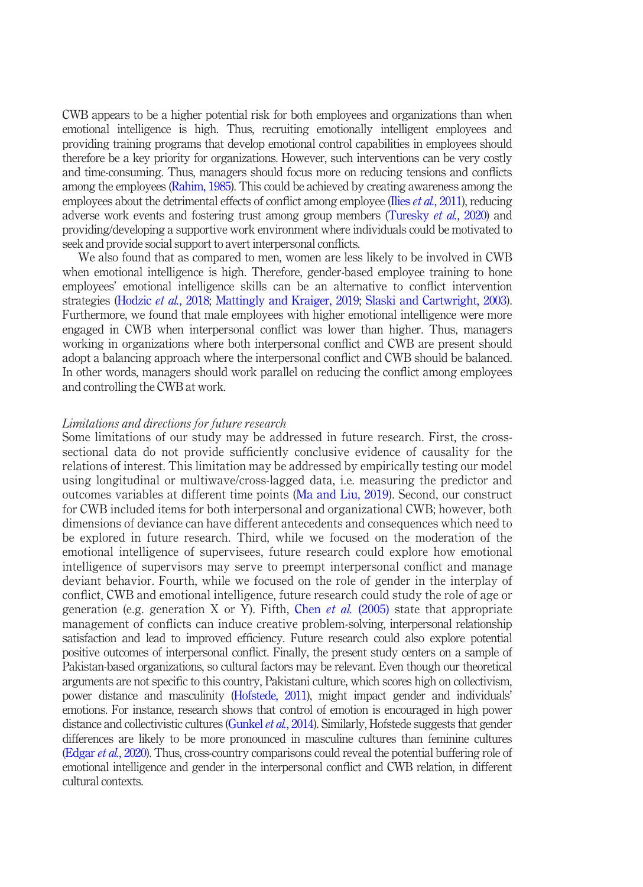CWB appears to be a higher potential risk for both employees and organizations than when emotional intelligence is high. Thus, recruiting emotionally intelligent employees and providing training programs that develop emotional control capabilities in employees should therefore be a key priority for organizations. However, such interventions can be very costly and time-consuming. Thus, managers should focus more on reducing tensions and conflicts among the employees (Rahim, 1985). This could be achieved by creating awareness among the employees about the detrimental effects of conflict among employee (Ilies et al., 2011), reducing adverse work events and fostering trust among group members (Turesky *et al.*, 2020) and providing/developing a supportive work environment where individuals could be motivated to seek and provide social support to avert interpersonal conflicts.

We also found that as compared to men, women are less likely to be involved in CWB when emotional intelligence is high. Therefore, gender-based employee training to hone employees' emotional intelligence skills can be an alternative to conflict intervention strategies (Hodzic et al., 2018; Mattingly and Kraiger, 2019; Slaski and Cartwright, 2003). Furthermore, we found that male employees with higher emotional intelligence were more engaged in CWB when interpersonal conflict was lower than higher. Thus, managers working in organizations where both interpersonal conflict and CWB are present should adopt a balancing approach where the interpersonal conflict and CWB should be balanced. In other words, managers should work parallel on reducing the conflict among employees and controlling the CWB at work.

#### Limitations and directions for future research

Some limitations of our study may be addressed in future research. First, the crosssectional data do not provide sufficiently conclusive evidence of causality for the relations of interest. This limitation may be addressed by empirically testing our model using longitudinal or multiwave/cross-lagged data, i.e. measuring the predictor and outcomes variables at different time points (Ma and Liu, 2019). Second, our construct for CWB included items for both interpersonal and organizational CWB; however, both dimensions of deviance can have different antecedents and consequences which need to be explored in future research. Third, while we focused on the moderation of the emotional intelligence of supervisees, future research could explore how emotional intelligence of supervisors may serve to preempt interpersonal conflict and manage deviant behavior. Fourth, while we focused on the role of gender in the interplay of conflict, CWB and emotional intelligence, future research could study the role of age or generation (e.g. generation X or Y). Fifth, Chen et al.  $(2005)$  state that appropriate management of conflicts can induce creative problem-solving, interpersonal relationship satisfaction and lead to improved efficiency. Future research could also explore potential positive outcomes of interpersonal conflict. Finally, the present study centers on a sample of Pakistan-based organizations, so cultural factors may be relevant. Even though our theoretical arguments are not specific to this country, Pakistani culture, which scores high on collectivism, power distance and masculinity (Hofstede, 2011), might impact gender and individuals' emotions. For instance, research shows that control of emotion is encouraged in high power distance and collectivistic cultures (Gunkel *et al.*, 2014). Similarly, Hofstede suggests that gender differences are likely to be more pronounced in masculine cultures than feminine cultures (Edgar et al., 2020). Thus, cross-country comparisons could reveal the potential buffering role of emotional intelligence and gender in the interpersonal conflict and CWB relation, in different cultural contexts.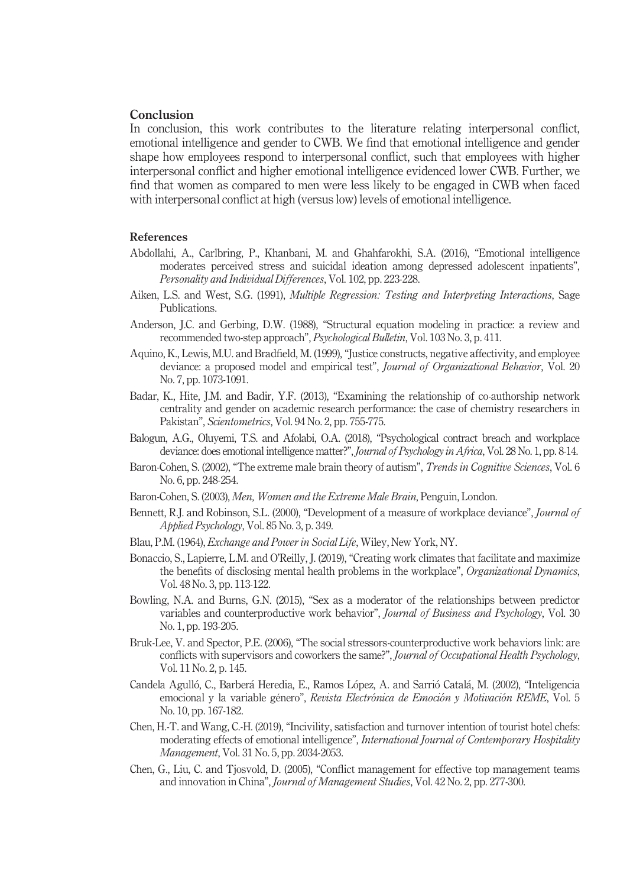#### Conclusion

In conclusion, this work contributes to the literature relating interpersonal conflict, emotional intelligence and gender to CWB. We find that emotional intelligence and gender shape how employees respond to interpersonal conflict, such that employees with higher interpersonal conflict and higher emotional intelligence evidenced lower CWB. Further, we find that women as compared to men were less likely to be engaged in CWB when faced with interpersonal conflict at high (versus low) levels of emotional intelligence.

#### References

- Abdollahi, A., Carlbring, P., Khanbani, M. and Ghahfarokhi, S.A. (2016), "Emotional intelligence moderates perceived stress and suicidal ideation among depressed adolescent inpatients", Personality and Individual Differences, Vol. 102, pp. 223-228.
- Aiken, L.S. and West, S.G. (1991), Multiple Regression: Testing and Interpreting Interactions, Sage Publications.
- Anderson, J.C. and Gerbing, D.W. (1988), "Structural equation modeling in practice: a review and recommended two-step approach", Psychological Bulletin, Vol. 103 No. 3, p. 411.
- Aquino, K., Lewis, M.U. and Bradfield, M. (1999), "Justice constructs, negative affectivity, and employee deviance: a proposed model and empirical test", Journal of Organizational Behavior, Vol. 20 No. 7, pp. 1073-1091.
- Badar, K., Hite, J.M. and Badir, Y.F. (2013), "Examining the relationship of co-authorship network centrality and gender on academic research performance: the case of chemistry researchers in Pakistan", Scientometrics, Vol. 94 No. 2, pp. 755-775.
- Balogun, A.G., Oluyemi, T.S. and Afolabi, O.A. (2018), "Psychological contract breach and workplace deviance: does emotional intelligence matter?", Journal of Psychology in Africa, Vol. 28 No. 1, pp. 8-14.
- Baron-Cohen, S. (2002), "The extreme male brain theory of autism", Trends in Cognitive Sciences, Vol. 6 No. 6, pp. 248-254.
- Baron-Cohen, S. (2003), Men, Women and the Extreme Male Brain, Penguin, London.
- Bennett, R.J. and Robinson, S.L. (2000), "Development of a measure of workplace deviance", *Journal of* Applied Psychology, Vol. 85 No. 3, p. 349.
- Blau, P.M. (1964), Exchange and Power in Social Life, Wiley, New York, NY.
- Bonaccio, S., Lapierre, L.M. and O'Reilly, J. (2019), "Creating work climates that facilitate and maximize the benefits of disclosing mental health problems in the workplace", Organizational Dynamics, Vol. 48 No. 3, pp. 113-122.
- Bowling, N.A. and Burns, G.N. (2015), "Sex as a moderator of the relationships between predictor variables and counterproductive work behavior", Journal of Business and Psychology, Vol. 30 No. 1, pp. 193-205.
- Bruk-Lee, V. and Spector, P.E. (2006), "The social stressors-counterproductive work behaviors link: are conflicts with supervisors and coworkers the same?", Journal of Occupational Health Psychology, Vol. 11 No. 2, p. 145.
- Candela Agulló, C., Barberá Heredia, E., Ramos López, A. and Sarrió Catalá, M. (2002), "Inteligencia emocional y la variable género", Revista Electrónica de Emoción y Motivación REME, Vol. 5 No. 10, pp. 167-182.
- Chen, H.-T. and Wang, C.-H. (2019), "Incivility, satisfaction and turnover intention of tourist hotel chefs: moderating effects of emotional intelligence", International Journal of Contemporary Hospitality Management, Vol. 31 No. 5, pp. 2034-2053.
- Chen, G., Liu, C. and Tjosvold, D. (2005), "Conflict management for effective top management teams and innovation in China", Journal of Management Studies, Vol. 42 No. 2, pp. 277-300.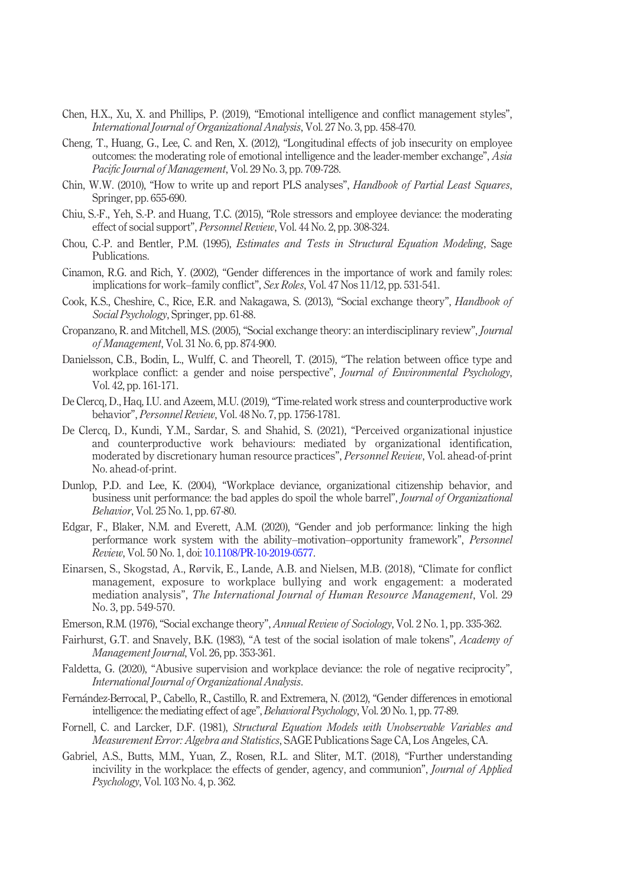- Chen, H.X., Xu, X. and Phillips, P. (2019), "Emotional intelligence and conflict management styles", International Journal of Organizational Analysis, Vol. 27 No. 3, pp. 458-470.
- Cheng, T., Huang, G., Lee, C. and Ren, X. (2012), "Longitudinal effects of job insecurity on employee outcomes: the moderating role of emotional intelligence and the leader-member exchange", Asia Pacific Journal of Management, Vol. 29 No. 3, pp. 709-728.
- Chin, W.W. (2010), "How to write up and report PLS analyses", Handbook of Partial Least Squares, Springer, pp. 655-690.
- Chiu, S.-F., Yeh, S.-P. and Huang, T.C. (2015), "Role stressors and employee deviance: the moderating effect of social support", Personnel Review, Vol. 44 No. 2, pp. 308-324.
- Chou, C.-P. and Bentler, P.M. (1995), Estimates and Tests in Structural Equation Modeling, Sage Publications.
- Cinamon, R.G. and Rich, Y. (2002), "Gender differences in the importance of work and family roles: implications for work–family conflict", Sex Roles, Vol. 47 Nos 11/12, pp. 531-541.
- Cook, K.S., Cheshire, C., Rice, E.R. and Nakagawa, S. (2013), "Social exchange theory", *Handbook of* Social Psychology, Springer, pp. 61-88.
- Cropanzano, R. and Mitchell, M.S. (2005), "Social exchange theory: an interdisciplinary review", Journal of Management, Vol. 31 No. 6, pp. 874-900.
- Danielsson, C.B., Bodin, L., Wulff, C. and Theorell, T. (2015), "The relation between office type and workplace conflict: a gender and noise perspective", *Journal of Environmental Psychology*, Vol. 42, pp. 161-171.
- De Clercq, D., Haq, I.U. and Azeem, M.U. (2019), "Time-related work stress and counterproductive work behavior", Personnel Review, Vol. 48 No. 7, pp. 1756-1781.
- De Clercq, D., Kundi, Y.M., Sardar, S. and Shahid, S. (2021), "Perceived organizational injustice and counterproductive work behaviours: mediated by organizational identification, moderated by discretionary human resource practices", Personnel Review, Vol. ahead-of-print No. ahead-of-print.
- Dunlop, P.D. and Lee, K. (2004), "Workplace deviance, organizational citizenship behavior, and business unit performance: the bad apples do spoil the whole barrel", Journal of Organizational Behavior, Vol. 25 No. 1, pp. 67-80.
- Edgar, F., Blaker, N.M. and Everett, A.M. (2020), "Gender and job performance: linking the high performance work system with the ability–motivation–opportunity framework", Personnel Review, Vol. 50 No. 1, doi: [10.1108/PR-10-2019-0577](http://dx.doi.org/10.1108/PR-10-2019-0577).
- Einarsen, S., Skogstad, A., Rørvik, E., Lande, A.B. and Nielsen, M.B. (2018), "Climate for conflict management, exposure to workplace bullying and work engagement: a moderated mediation analysis", The International Journal of Human Resource Management, Vol. 29 No. 3, pp. 549-570.
- Emerson, R.M. (1976), "Social exchange theory", *Annual Review of Sociology*, Vol. 2 No. 1, pp. 335-362.
- Fairhurst, G.T. and Snavely, B.K. (1983), "A test of the social isolation of male tokens", Academy of Management Journal, Vol. 26, pp. 353-361.
- Faldetta, G. (2020), "Abusive supervision and workplace deviance: the role of negative reciprocity", International Journal of Organizational Analysis.
- Fernandez-Berrocal, P., Cabello, R., Castillo, R. and Extremera, N. (2012), "Gender differences in emotional intelligence: the mediating effect of age", Behavioral Psychology, Vol. 20 No. 1, pp. 77-89.
- Fornell, C. and Larcker, D.F. (1981), Structural Equation Models with Unobservable Variables and Measurement Error: Algebra and Statistics, SAGE Publications Sage CA, Los Angeles, CA.
- Gabriel, A.S., Butts, M.M., Yuan, Z., Rosen, R.L. and Sliter, M.T. (2018), "Further understanding incivility in the workplace: the effects of gender, agency, and communion", *Journal of Applied* Psychology, Vol. 103 No. 4, p. 362.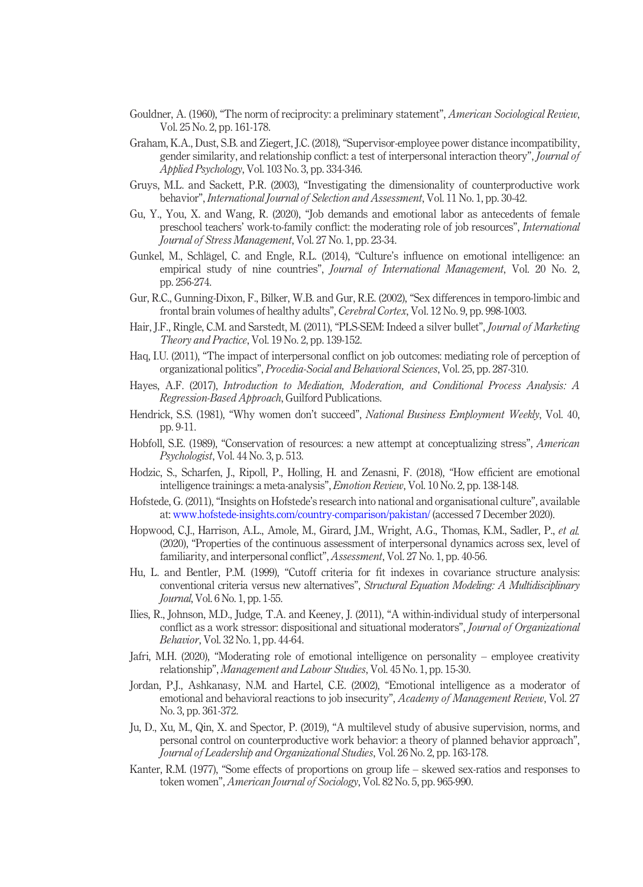- Gouldner, A. (1960), "The norm of reciprocity: a preliminary statement", *American Sociological Review*, Vol. 25 No. 2, pp. 161-178.
- Graham, K.A., Dust, S.B. and Ziegert, J.C. (2018), "Supervisor-employee power distance incompatibility, gender similarity, and relationship conflict: a test of interpersonal interaction theory", Journal of Applied Psychology, Vol. 103 No. 3, pp. 334-346.
- Gruys, M.L. and Sackett, P.R. (2003), "Investigating the dimensionality of counterproductive work behavior", International Journal of Selection and Assessment, Vol. 11 No. 1, pp. 30-42.
- Gu, Y., You, X. and Wang, R. (2020), "Job demands and emotional labor as antecedents of female preschool teachers' work-to-family conflict: the moderating role of job resources", International Journal of Stress Management, Vol. 27 No. 1, pp. 23-34.
- Gunkel, M., Schlägel, C. and Engle, R.L. (2014), "Culture's influence on emotional intelligence: an empirical study of nine countries", *Journal of International Management*, Vol. 20 No. 2, pp. 256-274.
- Gur, R.C., Gunning-Dixon, F., Bilker, W.B. and Gur, R.E. (2002), "Sex differences in temporo-limbic and frontal brain volumes of healthy adults", Cerebral Cortex, Vol. 12 No. 9, pp. 998-1003.
- Hair, J.F., Ringle, C.M. and Sarstedt, M. (2011), "PLS-SEM: Indeed a silver bullet", *Journal of Marketing* Theory and Practice, Vol. 19 No. 2, pp. 139-152.
- Haq, I.U. (2011), "The impact of interpersonal conflict on job outcomes: mediating role of perception of organizational politics", Procedia-Social and Behavioral Sciences, Vol. 25, pp. 287-310.
- Hayes, A.F. (2017), Introduction to Mediation, Moderation, and Conditional Process Analysis: A Regression-Based Approach, Guilford Publications.
- Hendrick, S.S. (1981), "Why women don't succeed", National Business Employment Weekly, Vol. 40, pp. 9-11.
- Hobfoll, S.E. (1989), "Conservation of resources: a new attempt at conceptualizing stress", American Psychologist, Vol. 44 No. 3, p. 513.
- Hodzic, S., Scharfen, J., Ripoll, P., Holling, H. and Zenasni, F. (2018), "How efficient are emotional intelligence trainings: a meta-analysis", Emotion Review, Vol. 10 No. 2, pp. 138-148.
- Hofstede, G. (2011), "Insights on Hofstede's research into national and organisational culture", available at: [www.hofstede-insights.com/country-comparison/pakistan/](http://www.hofstede-insights.com/country-comparison/pakistan/) (accessed 7 December 2020).
- Hopwood, C.J., Harrison, A.L., Amole, M., Girard, J.M., Wright, A.G., Thomas, K.M., Sadler, P., et al. (2020), "Properties of the continuous assessment of interpersonal dynamics across sex, level of familiarity, and interpersonal conflict", Assessment, Vol. 27 No. 1, pp. 40-56.
- Hu, L. and Bentler, P.M. (1999), "Cutoff criteria for fit indexes in covariance structure analysis: conventional criteria versus new alternatives", Structural Equation Modeling: A Multidisciplinary Journal, Vol. 6 No. 1, pp. 1-55.
- Ilies, R., Johnson, M.D., Judge, T.A. and Keeney, J. (2011), "A within-individual study of interpersonal conflict as a work stressor: dispositional and situational moderators", Journal of Organizational Behavior, Vol. 32 No. 1, pp. 44-64.
- Jafri, M.H. (2020), "Moderating role of emotional intelligence on personality employee creativity relationship", Management and Labour Studies, Vol. 45 No. 1, pp. 15-30.
- Jordan, P.J., Ashkanasy, N.M. and Hartel, C.E. (2002), "Emotional intelligence as a moderator of emotional and behavioral reactions to job insecurity", Academy of Management Review, Vol. 27 No. 3, pp. 361-372.
- Ju, D., Xu, M., Qin, X. and Spector, P. (2019), "A multilevel study of abusive supervision, norms, and personal control on counterproductive work behavior: a theory of planned behavior approach", Journal of Leadership and Organizational Studies, Vol. 26 No. 2, pp. 163-178.
- Kanter, R.M. (1977), "Some effects of proportions on group life skewed sex-ratios and responses to token women", American Journal of Sociology, Vol. 82 No. 5, pp. 965-990.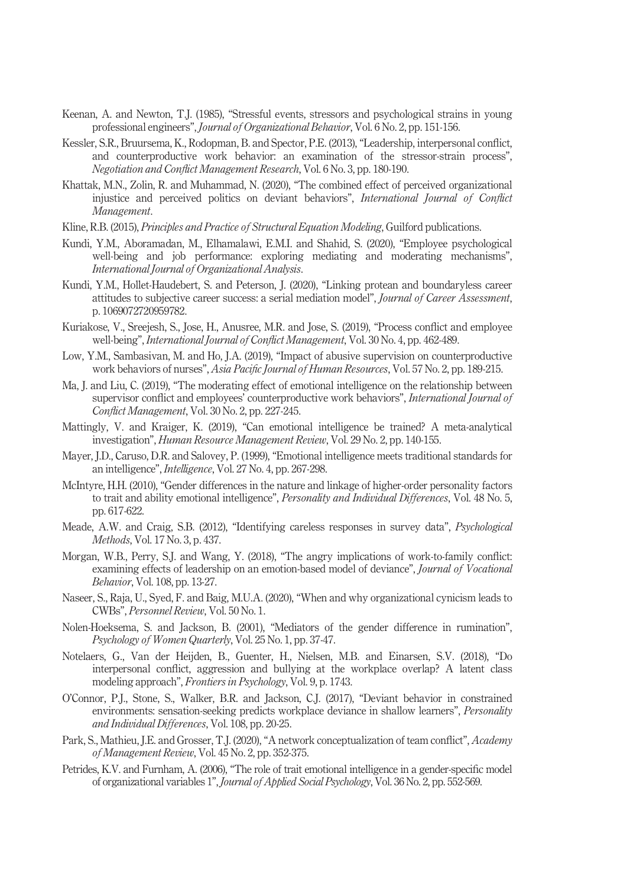- Keenan, A. and Newton, T.J. (1985), "Stressful events, stressors and psychological strains in young professional engineers", Journal of Organizational Behavior, Vol. 6 No. 2, pp. 151-156.
- Kessler, S.R., Bruursema, K., Rodopman, B. and Spector, P.E. (2013), "Leadership, interpersonal conflict, and counterproductive work behavior: an examination of the stressor-strain process", Negotiation and Conflict Management Research, Vol. 6 No. 3, pp. 180-190.
- Khattak, M.N., Zolin, R. and Muhammad, N. (2020), "The combined effect of perceived organizational injustice and perceived politics on deviant behaviors", International Journal of Conflict Management.
- Kline, R.B. (2015), *Principles and Practice of Structural Equation Modeling*, Guilford publications.
- Kundi, Y.M., Aboramadan, M., Elhamalawi, E.M.I. and Shahid, S. (2020), "Employee psychological well-being and job performance: exploring mediating and moderating mechanisms", International Journal of Organizational Analysis.
- Kundi, Y.M., Hollet-Haudebert, S. and Peterson, J. (2020), "Linking protean and boundaryless career attitudes to subjective career success: a serial mediation model", Journal of Career Assessment, p. 1069072720959782.
- Kuriakose, V., Sreejesh, S., Jose, H., Anusree, M.R. and Jose, S. (2019), "Process conflict and employee well-being", International Journal of Conflict Management, Vol. 30 No. 4, pp. 462-489.
- Low, Y.M., Sambasivan, M. and Ho, J.A. (2019), "Impact of abusive supervision on counterproductive work behaviors of nurses", Asia Pacific Journal of Human Resources, Vol. 57 No. 2, pp. 189-215.
- Ma, J. and Liu, C. (2019), "The moderating effect of emotional intelligence on the relationship between supervisor conflict and employees' counterproductive work behaviors", International Journal of Conflict Management, Vol. 30 No. 2, pp. 227-245.
- Mattingly, V. and Kraiger, K. (2019), "Can emotional intelligence be trained? A meta-analytical investigation", Human Resource Management Review, Vol. 29 No. 2, pp. 140-155.
- Mayer, J.D., Caruso, D.R. and Salovey, P. (1999), "Emotional intelligence meets traditional standards for an intelligence", Intelligence, Vol. 27 No. 4, pp. 267-298.
- McIntyre, H.H. (2010), "Gender differences in the nature and linkage of higher-order personality factors to trait and ability emotional intelligence", Personality and Individual Differences, Vol. 48 No. 5, pp. 617-622.
- Meade, A.W. and Craig, S.B. (2012), "Identifying careless responses in survey data", *Psychological* Methods, Vol. 17 No. 3, p. 437.
- Morgan, W.B., Perry, S.J. and Wang, Y. (2018), "The angry implications of work-to-family conflict: examining effects of leadership on an emotion-based model of deviance", *Journal of Vocational* Behavior, Vol. 108, pp. 13-27.
- Naseer, S., Raja, U., Syed, F. and Baig, M.U.A. (2020), "When and why organizational cynicism leads to CWBs", Personnel Review, Vol. 50 No. 1.
- Nolen-Hoeksema, S. and Jackson, B. (2001), "Mediators of the gender difference in rumination", Psychology of Women Quarterly, Vol. 25 No. 1, pp. 37-47.
- Notelaers, G., Van der Heijden, B., Guenter, H., Nielsen, M.B. and Einarsen, S.V. (2018), "Do interpersonal conflict, aggression and bullying at the workplace overlap? A latent class modeling approach", Frontiers in Psychology, Vol. 9, p. 1743.
- O'Connor, P.J., Stone, S., Walker, B.R. and Jackson, C.J. (2017), "Deviant behavior in constrained environments: sensation-seeking predicts workplace deviance in shallow learners", *Personality* and Individual Differences, Vol. 108, pp. 20-25.
- Park, S., Mathieu, J.E. and Grosser, T.J. (2020), "A network conceptualization of team conflict", Academy of Management Review, Vol. 45 No. 2, pp. 352-375.
- Petrides, K.V. and Furnham, A. (2006), "The role of trait emotional intelligence in a gender-specific model of organizational variables 1", Journal of Applied Social Psychology, Vol. 36 No. 2, pp. 552-569.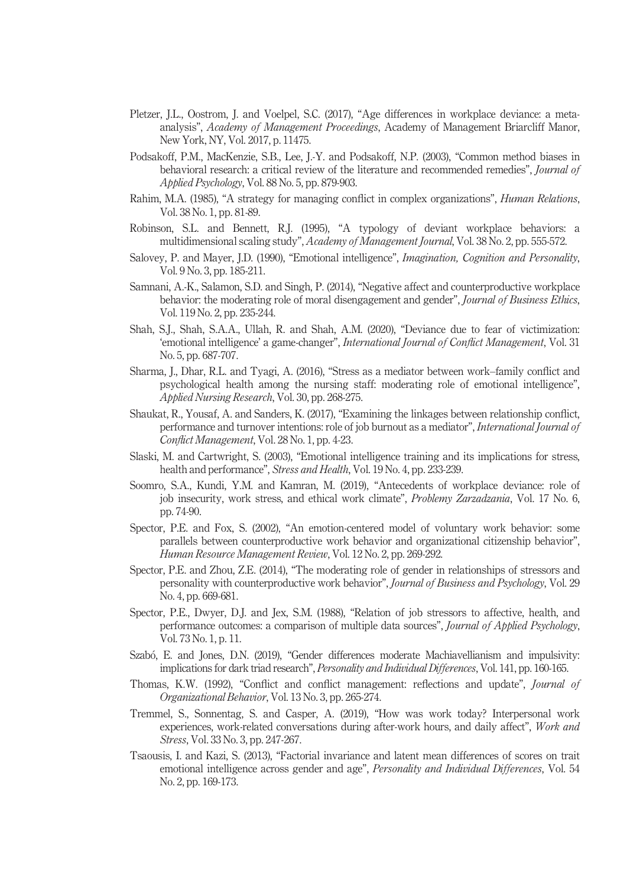- Pletzer, J.L., Oostrom, J. and Voelpel, S.C. (2017), "Age differences in workplace deviance: a metaanalysis", Academy of Management Proceedings, Academy of Management Briarcliff Manor, New York, NY, Vol. 2017, p. 11475.
- Podsakoff, P.M., MacKenzie, S.B., Lee, J.-Y. and Podsakoff, N.P. (2003), "Common method biases in behavioral research: a critical review of the literature and recommended remedies", Journal of Applied Psychology, Vol. 88 No. 5, pp. 879-903.
- Rahim, M.A. (1985), "A strategy for managing conflict in complex organizations", *Human Relations*, Vol. 38 No. 1, pp. 81-89.
- Robinson, S.L. and Bennett, R.J. (1995), "A typology of deviant workplace behaviors: a multidimensional scaling study", Academy of Management Journal, Vol. 38 No. 2, pp. 555-572.
- Salovey, P. and Mayer, J.D. (1990), "Emotional intelligence", Imagination, Cognition and Personality, Vol. 9 No. 3, pp. 185-211.
- Samnani, A.-K., Salamon, S.D. and Singh, P. (2014), "Negative affect and counterproductive workplace behavior: the moderating role of moral disengagement and gender", Journal of Business Ethics, Vol. 119 No. 2, pp. 235-244.
- Shah, S.J., Shah, S.A.A., Ullah, R. and Shah, A.M. (2020), "Deviance due to fear of victimization: 'emotional intelligence' a game-changer", International Journal of Conflict Management, Vol. 31 No. 5, pp. 687-707.
- Sharma, J., Dhar, R.L. and Tyagi, A. (2016), "Stress as a mediator between work–family conflict and psychological health among the nursing staff: moderating role of emotional intelligence", Applied Nursing Research, Vol. 30, pp. 268-275.
- Shaukat, R., Yousaf, A. and Sanders, K. (2017), "Examining the linkages between relationship conflict, performance and turnover intentions: role of job burnout as a mediator", International Journal of Conflict Management, Vol. 28 No. 1, pp. 4-23.
- Slaski, M. and Cartwright, S. (2003), "Emotional intelligence training and its implications for stress, health and performance", Stress and Health, Vol. 19 No. 4, pp. 233-239.
- Soomro, S.A., Kundi, Y.M. and Kamran, M. (2019), "Antecedents of workplace deviance: role of job insecurity, work stress, and ethical work climate", Problemy Zarzadzania, Vol. 17 No. 6, pp. 74-90.
- Spector, P.E. and Fox, S. (2002), "An emotion-centered model of voluntary work behavior: some parallels between counterproductive work behavior and organizational citizenship behavior", Human Resource Management Review, Vol. 12 No. 2, pp. 269-292.
- Spector, P.E. and Zhou, Z.E. (2014), "The moderating role of gender in relationships of stressors and personality with counterproductive work behavior", Journal of Business and Psychology, Vol. 29 No. 4, pp. 669-681.
- Spector, P.E., Dwyer, D.J. and Jex, S.M. (1988), "Relation of job stressors to affective, health, and performance outcomes: a comparison of multiple data sources", *Journal of Applied Psychology*, Vol. 73 No. 1, p. 11.
- Szabó, E. and Jones, D.N. (2019), "Gender differences moderate Machiavellianism and impulsivity: implications for dark triad research", *Personality and Individual Differences*, Vol. 141, pp. 160-165.
- Thomas, K.W. (1992), "Conflict and conflict management: reflections and update", Journal of Organizational Behavior, Vol. 13 No. 3, pp. 265-274.
- Tremmel, S., Sonnentag, S. and Casper, A. (2019), "How was work today? Interpersonal work experiences, work-related conversations during after-work hours, and daily affect", Work and Stress, Vol. 33 No. 3, pp. 247-267.
- Tsaousis, I. and Kazi, S. (2013), "Factorial invariance and latent mean differences of scores on trait emotional intelligence across gender and age", *Personality and Individual Differences*, Vol. 54 No. 2, pp. 169-173.